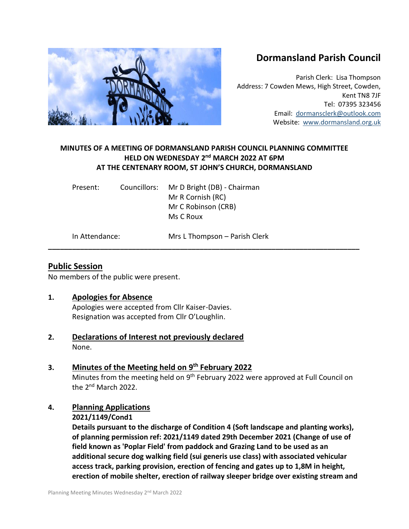# **Dormansland Parish Council**

Parish Clerk: Lisa Thompson Address: 7 Cowden Mews, High Street, Cowden, Kent TN8 7JF Tel: 07395 323456 Email: [dormansclerk@outlook.com](mailto:dormansclerk@outlook.com) Website: [www.dormansland.org.uk](http://www.dormansland.org.uk/)

# **MINUTES OF A MEETING OF DORMANSLAND PARISH COUNCIL PLANNING COMMITTEE HELD ON WEDNESDAY 2 nd MARCH 2022 AT 6PM AT THE CENTENARY ROOM, ST JOHN'S CHURCH, DORMANSLAND**

**\_\_\_\_\_\_\_\_\_\_\_\_\_\_\_\_\_\_\_\_\_\_\_\_\_\_\_\_\_\_\_\_\_\_\_\_\_\_\_\_\_\_\_\_\_\_\_\_\_\_\_\_\_\_\_\_\_\_\_\_\_\_\_\_\_\_\_\_\_\_\_\_\_\_\_\_\_\_**

| Present:       | Councillors: | Mr D Bright (DB) - Chairman<br>Mr R Cornish (RC) |
|----------------|--------------|--------------------------------------------------|
|                |              | Mr C Robinson (CRB)                              |
|                |              | Ms C Roux                                        |
| In Attendance: |              | Mrs L Thompson - Parish Clerk                    |

## **Public Session**

No members of the public were present.

### **1. Apologies for Absence**

Apologies were accepted from Cllr Kaiser-Davies. Resignation was accepted from Cllr O'Loughlin.

**2. Declarations of Interest not previously declared** None.

# **3. Minutes of the Meeting held on 9 th February 2022**

Minutes from the meeting held on 9<sup>th</sup> February 2022 were approved at Full Council on the 2<sup>nd</sup> March 2022.

# **4. Planning Applications**

### **2021/1149/Cond1**

**Details pursuant to the discharge of Condition 4 (Soft landscape and planting works), of planning permission ref: 2021/1149 dated 29th December 2021 (Change of use of field known as 'Poplar Field' from paddock and Grazing Land to be used as an additional secure dog walking field (sui generis use class) with associated vehicular access track, parking provision, erection of fencing and gates up to 1,8M in height, erection of mobile shelter, erection of railway sleeper bridge over existing stream and**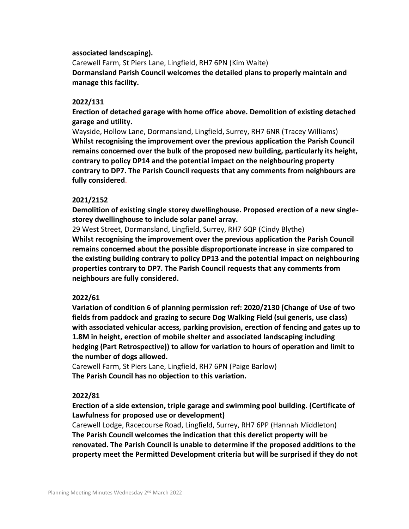#### **associated landscaping).**

Carewell Farm, St Piers Lane, Lingfield, RH7 6PN (Kim Waite) **Dormansland Parish Council welcomes the detailed plans to properly maintain and manage this facility.**

#### **2022/131**

**Erection of detached garage with home office above. Demolition of existing detached garage and utility.**

Wayside, Hollow Lane, Dormansland, Lingfield, Surrey, RH7 6NR (Tracey Williams) **Whilst recognising the improvement over the previous application the Parish Council remains concerned over the bulk of the proposed new building, particularly its height, contrary to policy DP14 and the potential impact on the neighbouring property contrary to DP7. The Parish Council requests that any comments from neighbours are fully considered**.

#### **2021/2152**

**Demolition of existing single storey dwellinghouse. Proposed erection of a new singlestorey dwellinghouse to include solar panel array.**

29 West Street, Dormansland, Lingfield, Surrey, RH7 6QP (Cindy Blythe) **Whilst recognising the improvement over the previous application the Parish Council remains concerned about the possible disproportionate increase in size compared to the existing building contrary to policy DP13 and the potential impact on neighbouring properties contrary to DP7. The Parish Council requests that any comments from neighbours are fully considered.**

#### **2022/61**

**Variation of condition 6 of planning permission ref: 2020/2130 (Change of Use of two fields from paddock and grazing to secure Dog Walking Field (sui generis, use class) with associated vehicular access, parking provision, erection of fencing and gates up to 1.8M in height, erection of mobile shelter and associated landscaping including hedging (Part Retrospective)) to allow for variation to hours of operation and limit to the number of dogs allowed.**

Carewell Farm, St Piers Lane, Lingfield, RH7 6PN (Paige Barlow) **The Parish Council has no objection to this variation.**

#### **2022/81**

**Erection of a side extension, triple garage and swimming pool building. (Certificate of Lawfulness for proposed use or development)**

Carewell Lodge, Racecourse Road, Lingfield, Surrey, RH7 6PP (Hannah Middleton) **The Parish Council welcomes the indication that this derelict property will be renovated. The Parish Council is unable to determine if the proposed additions to the property meet the Permitted Development criteria but will be surprised if they do not**